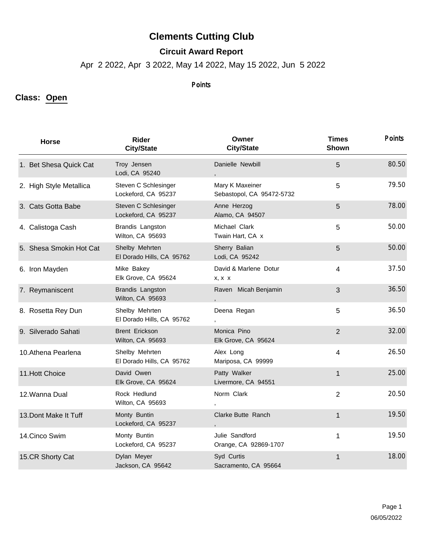## **Clements Cutting Club**

## **Circuit Award Report**

Apr 2 2022, Apr 3 2022, May 14 2022, May 15 2022, Jun 5 2022

## Points

## **Class: Open**

| <b>Horse</b>            | <b>Rider</b><br><b>City/State</b>           | Owner<br><b>City/State</b>                   | <b>Times</b><br>Shown | Points |
|-------------------------|---------------------------------------------|----------------------------------------------|-----------------------|--------|
| 1. Bet Shesa Quick Cat  | Troy Jensen<br>Lodi, CA 95240               | Danielle Newbill                             | 5                     | 80.50  |
| 2. High Style Metallica | Steven C Schlesinger<br>Lockeford, CA 95237 | Mary K Maxeiner<br>Sebastopol, CA 95472-5732 | 5                     | 79.50  |
| 3. Cats Gotta Babe      | Steven C Schlesinger<br>Lockeford, CA 95237 | Anne Herzog<br>Alamo, CA 94507               | 5                     | 78.00  |
| 4. Calistoga Cash       | Brandis Langston<br>Wilton, CA 95693        | Michael Clark<br>Twain Hart, CA x            | 5                     | 50.00  |
| 5. Shesa Smokin Hot Cat | Shelby Mehrten<br>El Dorado Hills, CA 95762 | Sherry Balian<br>Lodi, CA 95242              | 5                     | 50.00  |
| 6. Iron Mayden          | Mike Bakey<br>Elk Grove, CA 95624           | David & Marlene Dotur<br>$X, X \ X$          | 4                     | 37.50  |
| 7. Reymaniscent         | Brandis Langston<br>Wilton, CA 95693        | Raven Micah Benjamin                         | 3                     | 36.50  |
| 8. Rosetta Rey Dun      | Shelby Mehrten<br>El Dorado Hills, CA 95762 | Deena Regan                                  | 5                     | 36.50  |
| 9. Silverado Sahati     | <b>Brent Erickson</b><br>Wilton, CA 95693   | Monica Pino<br>Elk Grove, CA 95624           | $\overline{2}$        | 32.00  |
| 10. Athena Pearlena     | Shelby Mehrten<br>El Dorado Hills, CA 95762 | Alex Long<br>Mariposa, CA 99999              | 4                     | 26.50  |
| 11. Hott Choice         | David Owen<br>Elk Grove, CA 95624           | Patty Walker<br>Livermore, CA 94551          | $\mathbf 1$           | 25.00  |
| 12. Wanna Dual          | Rock Hedlund<br>Wilton, CA 95693            | Norm Clark                                   | $\overline{2}$        | 20.50  |
| 13. Dont Make It Tuff   | Monty Buntin<br>Lockeford, CA 95237         | Clarke Butte Ranch                           | $\overline{1}$        | 19.50  |
| 14.Cinco Swim           | Monty Buntin<br>Lockeford, CA 95237         | Julie Sandford<br>Orange, CA 92869-1707      | 1                     | 19.50  |
| 15.CR Shorty Cat        | Dylan Meyer<br>Jackson, CA 95642            | Syd Curtis<br>Sacramento, CA 95664           | 1                     | 18.00  |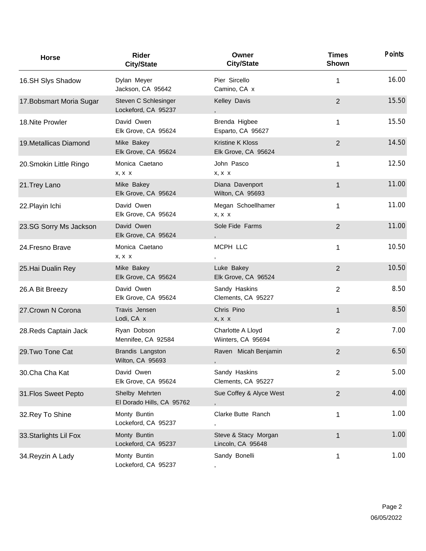| <b>Horse</b>             | Rider<br><b>City/State</b>                  | Owner<br><b>City/State</b>                     | <b>Times</b><br>Shown | <b>Points</b> |
|--------------------------|---------------------------------------------|------------------------------------------------|-----------------------|---------------|
| 16.SH Slys Shadow        | Dylan Meyer<br>Jackson, CA 95642            | Pier Sircello<br>Camino, CA x                  | 1                     | 16.00         |
| 17. Bobsmart Moria Sugar | Steven C Schlesinger<br>Lockeford, CA 95237 | Kelley Davis                                   | $\overline{2}$        | 15.50         |
| 18. Nite Prowler         | David Owen<br>Elk Grove, CA 95624           | Brenda Higbee<br>Esparto, CA 95627             | 1                     | 15.50         |
| 19. Metallicas Diamond   | Mike Bakey<br>Elk Grove, CA 95624           | <b>Kristine K Kloss</b><br>Elk Grove, CA 95624 | $\overline{2}$        | 14.50         |
| 20. Smokin Little Ringo  | Monica Caetano<br>x, x x                    | John Pasco<br>x, x x                           | 1                     | 12.50         |
| 21. Trey Lano            | Mike Bakey<br>Elk Grove, CA 95624           | Diana Davenport<br>Wilton, CA 95693            | $\mathbf 1$           | 11.00         |
| 22. Playin Ichi          | David Owen<br>Elk Grove, CA 95624           | Megan Schoellhamer<br>x, x x                   | 1                     | 11.00         |
| 23.SG Sorry Ms Jackson   | David Owen<br>Elk Grove, CA 95624           | Sole Fide Farms                                | $\overline{2}$        | 11.00         |
| 24. Fresno Brave         | Monica Caetano<br>x, x x                    | MCPH LLC                                       | 1                     | 10.50         |
| 25. Hai Dualin Rey       | Mike Bakey<br>Elk Grove, CA 95624           | Luke Bakey<br>Elk Grove, CA 96524              | $\overline{2}$        | 10.50         |
| 26.A Bit Breezy          | David Owen<br>Elk Grove, CA 95624           | Sandy Haskins<br>Clements, CA 95227            | $\overline{2}$        | 8.50          |
| 27. Crown N Corona       | Travis Jensen<br>Lodi, CA x                 | Chris Pino<br>$X, X \ X$                       | $\mathbf 1$           | 8.50          |
| 28. Reds Captain Jack    | Ryan Dobson<br>Mennifee, CA 92584           | Charlotte A Lloyd<br>Wiinters, CA 95694        | $\overline{2}$        | 7.00          |
| 29. Two Tone Cat         | Brandis Langston<br>Wilton, CA 95693        | Raven Micah Benjamin                           | $\overline{2}$        | 6.50          |
| 30.Cha Cha Kat           | David Owen<br>Elk Grove, CA 95624           | Sandy Haskins<br>Clements, CA 95227            | $\overline{2}$        | 5.00          |
| 31. Flos Sweet Pepto     | Shelby Mehrten<br>El Dorado Hills, CA 95762 | Sue Coffey & Alyce West                        | $\overline{2}$        | 4.00          |
| 32. Rey To Shine         | Monty Buntin<br>Lockeford, CA 95237         | Clarke Butte Ranch                             | 1                     | 1.00          |
| 33. Starlights Lil Fox   | Monty Buntin<br>Lockeford, CA 95237         | Steve & Stacy Morgan<br>Lincoln, CA 95648      | 1                     | 1.00          |
| 34. Reyzin A Lady        | Monty Buntin<br>Lockeford, CA 95237         | Sandy Bonelli                                  | 1                     | 1.00          |